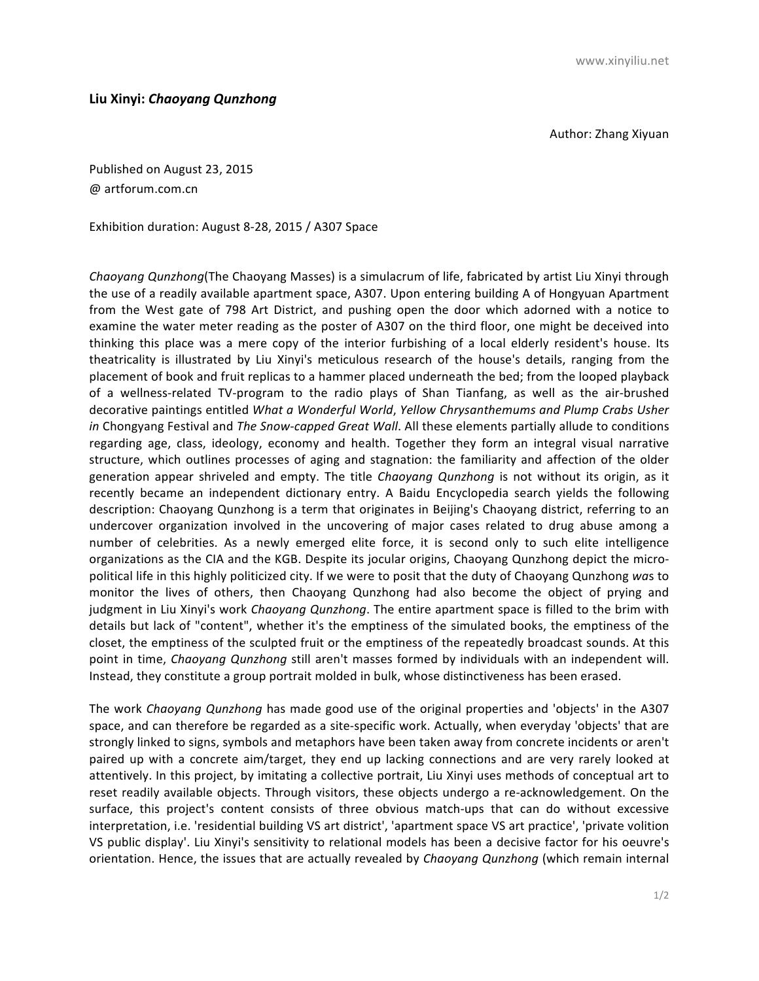Author: Zhang Xiyuan

Published on August 23, 2015 @ artforum.com.cn 

Exhibition duration: August 8-28, 2015 / A307 Space

*Chaoyang Qunzhong*(The Chaoyang Masses) is a simulacrum of life, fabricated by artist Liu Xinyi through the use of a readily available apartment space, A307. Upon entering building A of Hongyuan Apartment from the West gate of 798 Art District, and pushing open the door which adorned with a notice to examine the water meter reading as the poster of A307 on the third floor, one might be deceived into thinking this place was a mere copy of the interior furbishing of a local elderly resident's house. Its theatricality is illustrated by Liu Xinyi's meticulous research of the house's details, ranging from the placement of book and fruit replicas to a hammer placed underneath the bed; from the looped playback of a wellness-related TV-program to the radio plays of Shan Tianfang, as well as the air-brushed decorative paintings entitled *What a Wonderful World, Yellow Chrysanthemums and Plump Crabs Usher in* Chongyang Festival and *The Snow-capped Great Wall*. All these elements partially allude to conditions regarding age, class, ideology, economy and health. Together they form an integral visual narrative structure, which outlines processes of aging and stagnation: the familiarity and affection of the older generation appear shriveled and empty. The title *Chaoyang Qunzhong* is not without its origin, as it recently became an independent dictionary entry. A Baidu Encyclopedia search yields the following description: Chaoyang Qunzhong is a term that originates in Beijing's Chaoyang district, referring to an undercover organization involved in the uncovering of major cases related to drug abuse among a number of celebrities. As a newly emerged elite force, it is second only to such elite intelligence organizations as the CIA and the KGB. Despite its jocular origins, Chaoyang Qunzhong depict the micropolitical life in this highly politicized city. If we were to posit that the duty of Chaoyang Qunzhong was to monitor the lives of others, then Chaoyang Qunzhong had also become the object of prying and judgment in Liu Xinyi's work *Chaoyang Qunzhong*. The entire apartment space is filled to the brim with details but lack of "content", whether it's the emptiness of the simulated books, the emptiness of the closet, the emptiness of the sculpted fruit or the emptiness of the repeatedly broadcast sounds. At this point in time, *Chaoyang Qunzhong* still aren't masses formed by individuals with an independent will. Instead, they constitute a group portrait molded in bulk, whose distinctiveness has been erased.

The work *Chaoyang Qunzhong* has made good use of the original properties and 'objects' in the A307 space, and can therefore be regarded as a site-specific work. Actually, when everyday 'objects' that are strongly linked to signs, symbols and metaphors have been taken away from concrete incidents or aren't paired up with a concrete aim/target, they end up lacking connections and are very rarely looked at attentively. In this project, by imitating a collective portrait, Liu Xinyi uses methods of conceptual art to reset readily available objects. Through visitors, these objects undergo a re-acknowledgement. On the surface, this project's content consists of three obvious match-ups that can do without excessive interpretation, i.e. 'residential building VS art district', 'apartment space VS art practice', 'private volition VS public display'. Liu Xinyi's sensitivity to relational models has been a decisive factor for his oeuvre's orientation. Hence, the issues that are actually revealed by *Chaoyang Qunzhong* (which remain internal